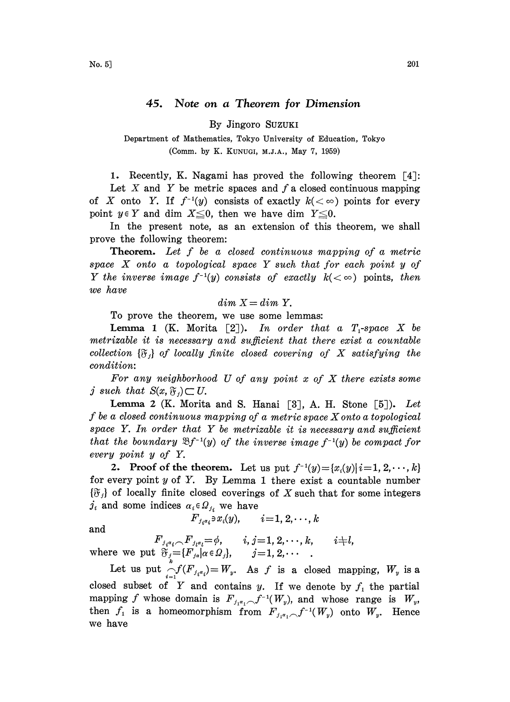By Jingoro SUZUKI

Department of Mathematics, Tokyo University of Education, Tokyo (Comm. by K. KUNUGI, M.J.A., May 7, 1959)

1. Recently, K. Nagami has proved the following theorem  $\lceil 4 \rceil$ :

Let X and Y be metric spaces and  $f$  a closed continuous mapping of X onto Y. If  $f^{-1}(y)$  consists of exactly  $k(<\infty)$  points for every point  $y \in Y$  and dim  $X \leq 0$ , then we have dim  $Y \leq 0$ .

In the present note, as an extension of this theorem, we shall prove the following theorem:

Theorem. Let f be a closed continuous mapping of a metric space X onto <sup>a</sup> topological space Y such that for each point <sup>y</sup> of Y the inverse image  $f^{-1}(y)$  consists of exactly  $k(<\infty)$  points, then we have

$$
dim X = dim Y.
$$

To prove the theorem, we use some lemmas:

**Lemma 1** (K. Morita [2]). In order that a  $T_1$ -space X be metrizable it is necessary and sufficient that there exist a countable collection  $\{\mathfrak{F}_i\}$  of locally finite closed covering of X satisfying the condition:

For any neighborhood U of any point  $x$  of  $X$  there exists some j such that  $S(x, \mathfrak{F}_i) \subset U$ .

Lemma 2 (K. Morita and S. Hanai [3], A. H. Stone [5]). Let f be <sup>a</sup> closed continuous mapping of <sup>a</sup> metric space Xonto <sup>a</sup> topological space  $Y$ . In order that  $Y$  be metrizable it is necessary and sufficient that the boundary  $\mathfrak{B}f^{-1}(y)$  of the inverse image  $f^{-1}(y)$  be compact for every point y of Y.

2. Proof of the theorem. Let us put  $f^{-1}(y) = \{x_i(y) | i = 1, 2, \dots, k\}$ for every point  $y$  of  $Y$ . By Lemma 1 there exist a countable number  ${\mathfrak{F}}_j$  of locally finite closed coverings of X such that for some integers  $j_i$  and some indices  $\alpha_i \in \Omega_{j_i}$  we have

and

$$
F_{j_i\alpha_i}\mathbin{\raisebox{0.2ex}{\textbf{--}}\hspace{-.9ex}} x_i(y), \qquad i\!=\!1,2,\!\cdots\!,k
$$

 ${F_{{\scriptscriptstyle{j_i}{\scriptscriptstyle{a_i}}}\frown}{F_{{\scriptscriptstyle{j_i}{\scriptscriptstyle{a_i}}}}}}{=}\phi,\quad \quad i,j\!=\!1,2,\!\cdots\!,k,\quad \quad i\!\!+\!\!l,$ where we put  $\mathfrak{F}_j = \{F_{j\alpha} | \alpha \in \Omega_j\}, \qquad j=1, 2, \cdots$ 

Let us put  $\bigcap_{i=1}^k f(F_{j_i \alpha_i}) = W_y$ . As f is a closed mapping,  $W_y$  is a closed subset of Y and contains y. If we denote by  $f_1$  the partial mapping f whose domain is  $F_{i_1i_1} \frown f^{-1}(W_{ij})$ , and whose range is  $W_{ij}$ , then  $f_1$  is a homeomorphism from  $F_{j_1\alpha_1}\frown f^{-1}(W_y)$  onto  $W_y$ . Hence we have